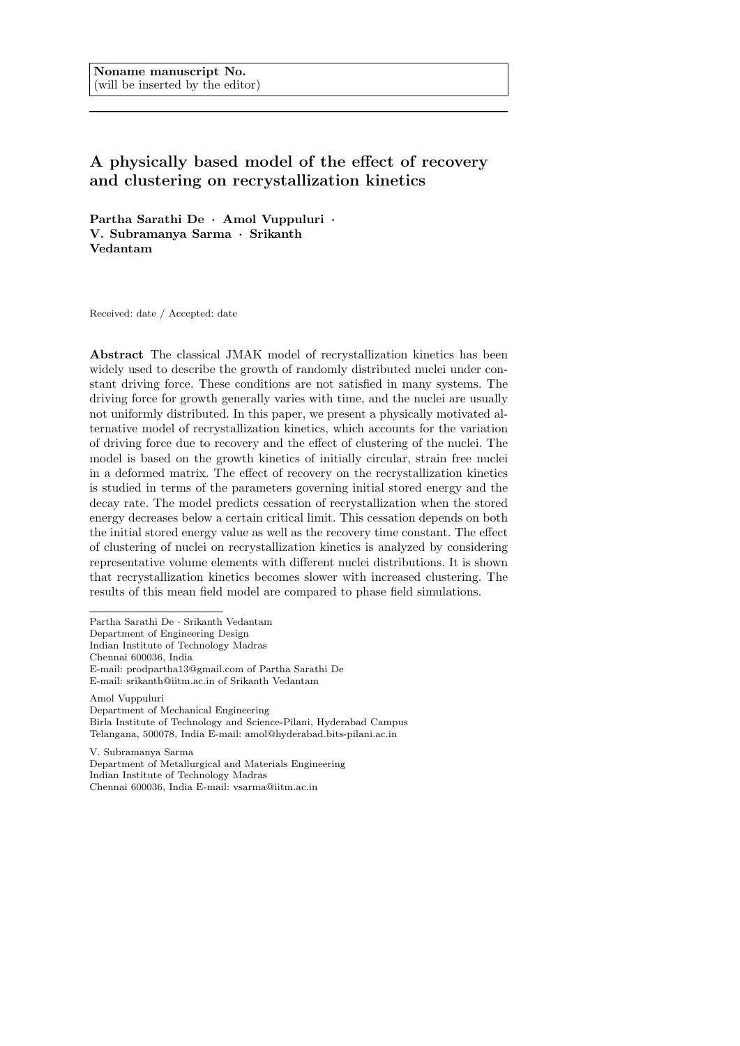# A physically based model of the effect of recovery and clustering on recrystallization kinetics

Partha Sarathi De · Amol Vuppuluri · V. Subramanya Sarma · Srikanth Vedantam

Received: date / Accepted: date

Abstract The classical JMAK model of recrystallization kinetics has been widely used to describe the growth of randomly distributed nuclei under constant driving force. These conditions are not satisfied in many systems. The driving force for growth generally varies with time, and the nuclei are usually not uniformly distributed. In this paper, we present a physically motivated alternative model of recrystallization kinetics, which accounts for the variation of driving force due to recovery and the effect of clustering of the nuclei. The model is based on the growth kinetics of initially circular, strain free nuclei in a deformed matrix. The effect of recovery on the recrystallization kinetics is studied in terms of the parameters governing initial stored energy and the decay rate. The model predicts cessation of recrystallization when the stored energy decreases below a certain critical limit. This cessation depends on both the initial stored energy value as well as the recovery time constant. The effect of clustering of nuclei on recrystallization kinetics is analyzed by considering representative volume elements with different nuclei distributions. It is shown that recrystallization kinetics becomes slower with increased clustering. The results of this mean field model are compared to phase field simulations.

Partha Sarathi De · Srikanth Vedantam Department of Engineering Design Indian Institute of Technology Madras Chennai 600036, India E-mail: prodpartha13@gmail.com of Partha Sarathi De E-mail: srikanth@iitm.ac.in of Srikanth Vedantam

Amol Vuppuluri Department of Mechanical Engineering Birla Institute of Technology and Science-Pilani, Hyderabad Campus Telangana, 500078, India E-mail: amol@hyderabad.bits-pilani.ac.in

V. Subramanya Sarma Department of Metallurgical and Materials Engineering Indian Institute of Technology Madras Chennai 600036, India E-mail: vsarma@iitm.ac.in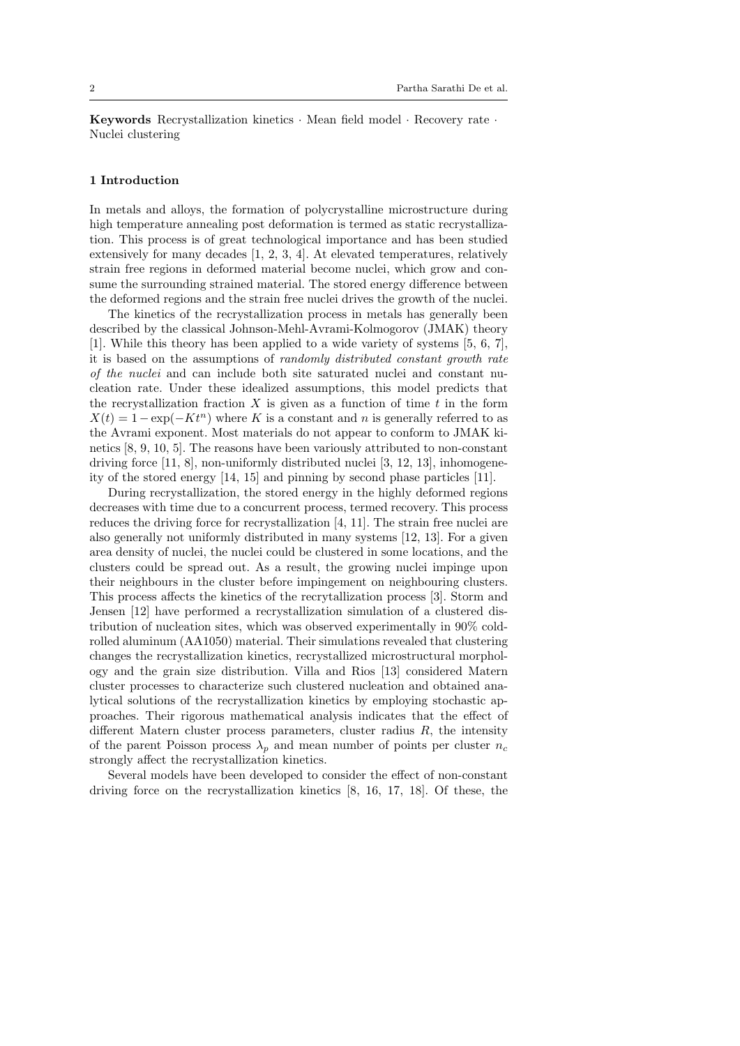Keywords Recrystallization kinetics · Mean field model · Recovery rate · Nuclei clustering

#### 1 Introduction

In metals and alloys, the formation of polycrystalline microstructure during high temperature annealing post deformation is termed as static recrystallization. This process is of great technological importance and has been studied extensively for many decades [1, 2, 3, 4]. At elevated temperatures, relatively strain free regions in deformed material become nuclei, which grow and consume the surrounding strained material. The stored energy difference between the deformed regions and the strain free nuclei drives the growth of the nuclei.

The kinetics of the recrystallization process in metals has generally been described by the classical Johnson-Mehl-Avrami-Kolmogorov (JMAK) theory [1]. While this theory has been applied to a wide variety of systems [5, 6, 7], it is based on the assumptions of randomly distributed constant growth rate of the nuclei and can include both site saturated nuclei and constant nucleation rate. Under these idealized assumptions, this model predicts that the recrystallization fraction X is given as a function of time  $t$  in the form  $X(t) = 1 - \exp(-Kt^n)$  where K is a constant and n is generally referred to as the Avrami exponent. Most materials do not appear to conform to JMAK kinetics [8, 9, 10, 5]. The reasons have been variously attributed to non-constant driving force  $[11, 8]$ , non-uniformly distributed nuclei  $[3, 12, 13]$ , inhomogeneity of the stored energy [14, 15] and pinning by second phase particles [11].

During recrystallization, the stored energy in the highly deformed regions decreases with time due to a concurrent process, termed recovery. This process reduces the driving force for recrystallization [4, 11]. The strain free nuclei are also generally not uniformly distributed in many systems [12, 13]. For a given area density of nuclei, the nuclei could be clustered in some locations, and the clusters could be spread out. As a result, the growing nuclei impinge upon their neighbours in the cluster before impingement on neighbouring clusters. This process affects the kinetics of the recrytallization process [3]. Storm and Jensen [12] have performed a recrystallization simulation of a clustered distribution of nucleation sites, which was observed experimentally in 90% coldrolled aluminum (AA1050) material. Their simulations revealed that clustering changes the recrystallization kinetics, recrystallized microstructural morphology and the grain size distribution. Villa and Rios [13] considered Matern cluster processes to characterize such clustered nucleation and obtained analytical solutions of the recrystallization kinetics by employing stochastic approaches. Their rigorous mathematical analysis indicates that the effect of different Matern cluster process parameters, cluster radius  $R$ , the intensity of the parent Poisson process  $\lambda_p$  and mean number of points per cluster  $n_c$ strongly affect the recrystallization kinetics.

Several models have been developed to consider the effect of non-constant driving force on the recrystallization kinetics [8, 16, 17, 18]. Of these, the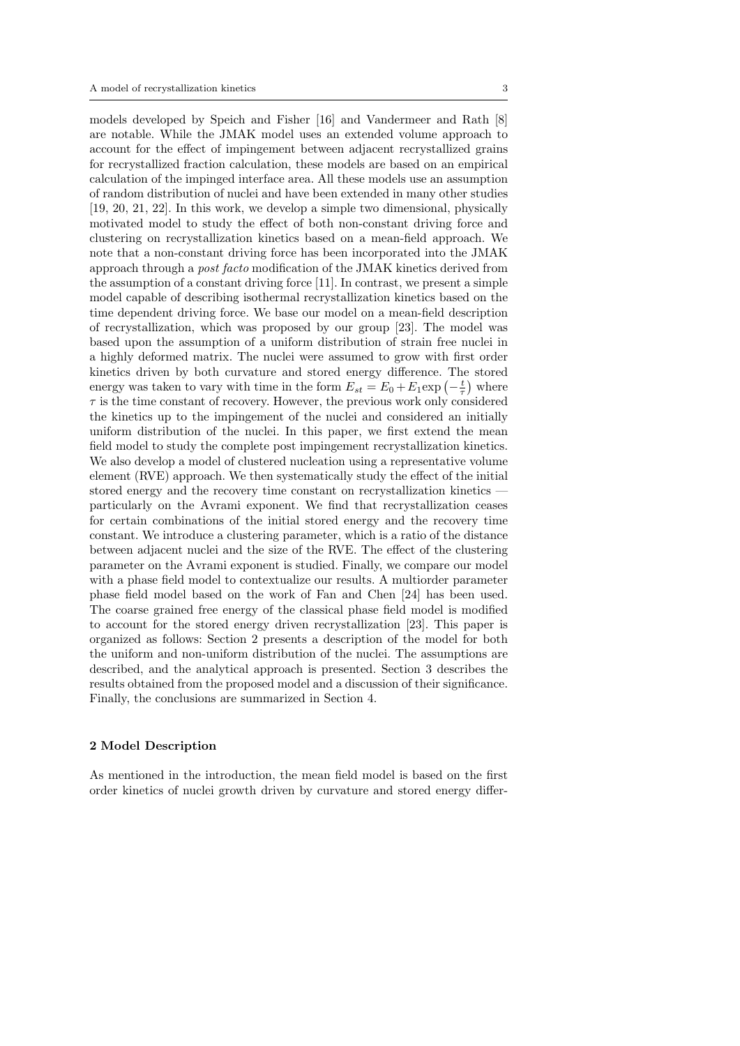models developed by Speich and Fisher [16] and Vandermeer and Rath [8] are notable. While the JMAK model uses an extended volume approach to account for the effect of impingement between adjacent recrystallized grains for recrystallized fraction calculation, these models are based on an empirical calculation of the impinged interface area. All these models use an assumption of random distribution of nuclei and have been extended in many other studies [19, 20, 21, 22]. In this work, we develop a simple two dimensional, physically motivated model to study the effect of both non-constant driving force and clustering on recrystallization kinetics based on a mean-field approach. We note that a non-constant driving force has been incorporated into the JMAK approach through a post facto modification of the JMAK kinetics derived from the assumption of a constant driving force [11]. In contrast, we present a simple model capable of describing isothermal recrystallization kinetics based on the time dependent driving force. We base our model on a mean-field description of recrystallization, which was proposed by our group [23]. The model was based upon the assumption of a uniform distribution of strain free nuclei in a highly deformed matrix. The nuclei were assumed to grow with first order kinetics driven by both curvature and stored energy difference. The stored energy was taken to vary with time in the form  $E_{st} = E_0 + E_1 \exp\left(-\frac{t}{\tau}\right)$  where  $\tau$  is the time constant of recovery. However, the previous work only considered the kinetics up to the impingement of the nuclei and considered an initially uniform distribution of the nuclei. In this paper, we first extend the mean field model to study the complete post impingement recrystallization kinetics. We also develop a model of clustered nucleation using a representative volume element (RVE) approach. We then systematically study the effect of the initial stored energy and the recovery time constant on recrystallization kinetics particularly on the Avrami exponent. We find that recrystallization ceases for certain combinations of the initial stored energy and the recovery time constant. We introduce a clustering parameter, which is a ratio of the distance between adjacent nuclei and the size of the RVE. The effect of the clustering parameter on the Avrami exponent is studied. Finally, we compare our model with a phase field model to contextualize our results. A multiorder parameter phase field model based on the work of Fan and Chen [24] has been used. The coarse grained free energy of the classical phase field model is modified to account for the stored energy driven recrystallization [23]. This paper is organized as follows: Section 2 presents a description of the model for both the uniform and non-uniform distribution of the nuclei. The assumptions are described, and the analytical approach is presented. Section 3 describes the results obtained from the proposed model and a discussion of their significance. Finally, the conclusions are summarized in Section 4.

### 2 Model Description

As mentioned in the introduction, the mean field model is based on the first order kinetics of nuclei growth driven by curvature and stored energy differ-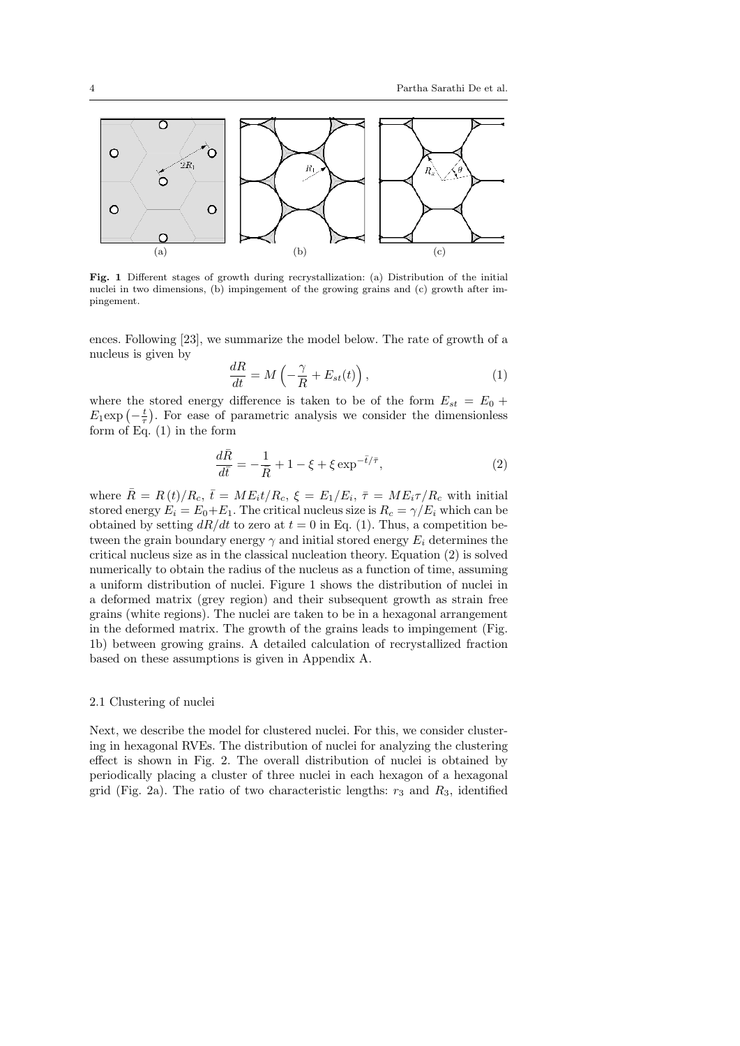

Fig. 1 Different stages of growth during recrystallization: (a) Distribution of the initial nuclei in two dimensions, (b) impingement of the growing grains and (c) growth after impingement.

ences. Following [23], we summarize the model below. The rate of growth of a nucleus is given by

$$
\frac{dR}{dt} = M\left(-\frac{\gamma}{R} + E_{st}(t)\right),\tag{1}
$$

where the stored energy difference is taken to be of the form  $E_{st} = E_0 +$  $E_1 \exp\left(-\frac{t}{\tau}\right)$ . For ease of parametric analysis we consider the dimensionless form of Eq. (1) in the form

$$
\frac{d\bar{R}}{d\bar{t}} = -\frac{1}{\bar{R}} + 1 - \xi + \xi \exp^{-\bar{t}/\bar{\tau}},\tag{2}
$$

where  $\bar{R} = R(t)/R_c$ ,  $\bar{t} = ME_i t/R_c$ ,  $\xi = E_1/E_i$ ,  $\bar{\tau} = ME_i \tau/R_c$  with initial stored energy  $E_i = E_0 + E_1$ . The critical nucleus size is  $R_c = \gamma/E_i$  which can be obtained by setting  $dR/dt$  to zero at  $t = 0$  in Eq. (1). Thus, a competition between the grain boundary energy  $\gamma$  and initial stored energy  $E_i$  determines the critical nucleus size as in the classical nucleation theory. Equation (2) is solved numerically to obtain the radius of the nucleus as a function of time, assuming a uniform distribution of nuclei. Figure 1 shows the distribution of nuclei in a deformed matrix (grey region) and their subsequent growth as strain free grains (white regions). The nuclei are taken to be in a hexagonal arrangement in the deformed matrix. The growth of the grains leads to impingement (Fig. 1b) between growing grains. A detailed calculation of recrystallized fraction based on these assumptions is given in Appendix A.

#### 2.1 Clustering of nuclei

Next, we describe the model for clustered nuclei. For this, we consider clustering in hexagonal RVEs. The distribution of nuclei for analyzing the clustering effect is shown in Fig. 2. The overall distribution of nuclei is obtained by periodically placing a cluster of three nuclei in each hexagon of a hexagonal grid (Fig. 2a). The ratio of two characteristic lengths:  $r_3$  and  $R_3$ , identified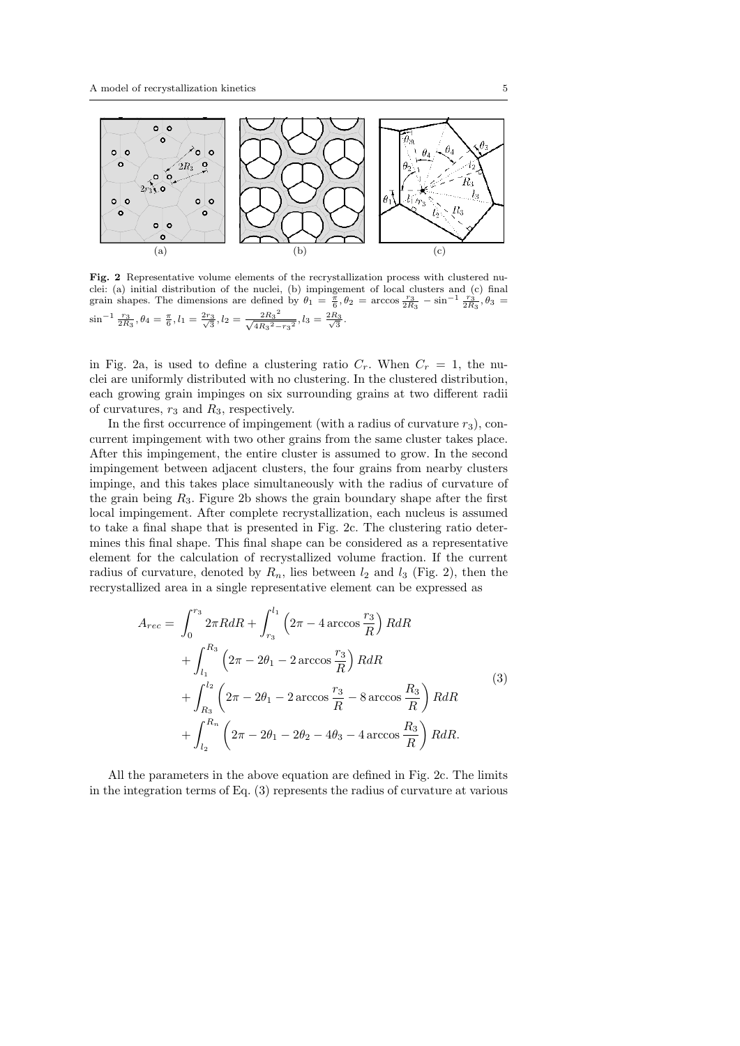

Fig. 2 Representative volume elements of the recrystallization process with clustered nuclei: (a) initial distribution of the nuclei, (b) impingement of local clusters and (c) final grain shapes. The dimensions are defined by  $\theta_1 = \frac{\pi}{6}, \theta_2 = \arccos \frac{r_3}{2R_3} - \sin^{-1} \frac{r_3}{2R_3}, \theta_3 =$  $\sin^{-1} \frac{r_3}{2R_3}, \theta_4 = \frac{\pi}{6}, l_1 = \frac{2r_3}{\sqrt{3}}, l_2 = \frac{2R_3^2}{\sqrt{4R_3^2-1}}$  $\frac{2R_3^2}{\sqrt{4R_3^2 - r_3^2}}, l_3 = \frac{2R_3}{\sqrt{3}}.$ 

in Fig. 2a, is used to define a clustering ratio  $C_r$ . When  $C_r = 1$ , the nuclei are uniformly distributed with no clustering. In the clustered distribution, each growing grain impinges on six surrounding grains at two different radii of curvatures,  $r_3$  and  $R_3$ , respectively.

In the first occurrence of impingement (with a radius of curvature  $r_3$ ), concurrent impingement with two other grains from the same cluster takes place. After this impingement, the entire cluster is assumed to grow. In the second impingement between adjacent clusters, the four grains from nearby clusters impinge, and this takes place simultaneously with the radius of curvature of the grain being  $R_3$ . Figure 2b shows the grain boundary shape after the first local impingement. After complete recrystallization, each nucleus is assumed to take a final shape that is presented in Fig. 2c. The clustering ratio determines this final shape. This final shape can be considered as a representative element for the calculation of recrystallized volume fraction. If the current radius of curvature, denoted by  $R_n$ , lies between  $l_2$  and  $l_3$  (Fig. 2), then the recrystallized area in a single representative element can be expressed as

$$
A_{rec} = \int_0^{r_3} 2\pi R dR + \int_{r_3}^{l_1} \left(2\pi - 4 \arccos \frac{r_3}{R}\right) R dR
$$
  
+ 
$$
\int_{l_1}^{R_3} \left(2\pi - 2\theta_1 - 2 \arccos \frac{r_3}{R}\right) R dR
$$
  
+ 
$$
\int_{R_3}^{l_2} \left(2\pi - 2\theta_1 - 2 \arccos \frac{r_3}{R} - 8 \arccos \frac{R_3}{R}\right) R dR
$$
  
+ 
$$
\int_{l_2}^{R_n} \left(2\pi - 2\theta_1 - 2\theta_2 - 4\theta_3 - 4 \arccos \frac{R_3}{R}\right) R dR.
$$
 (3)

All the parameters in the above equation are defined in Fig. 2c. The limits in the integration terms of Eq. (3) represents the radius of curvature at various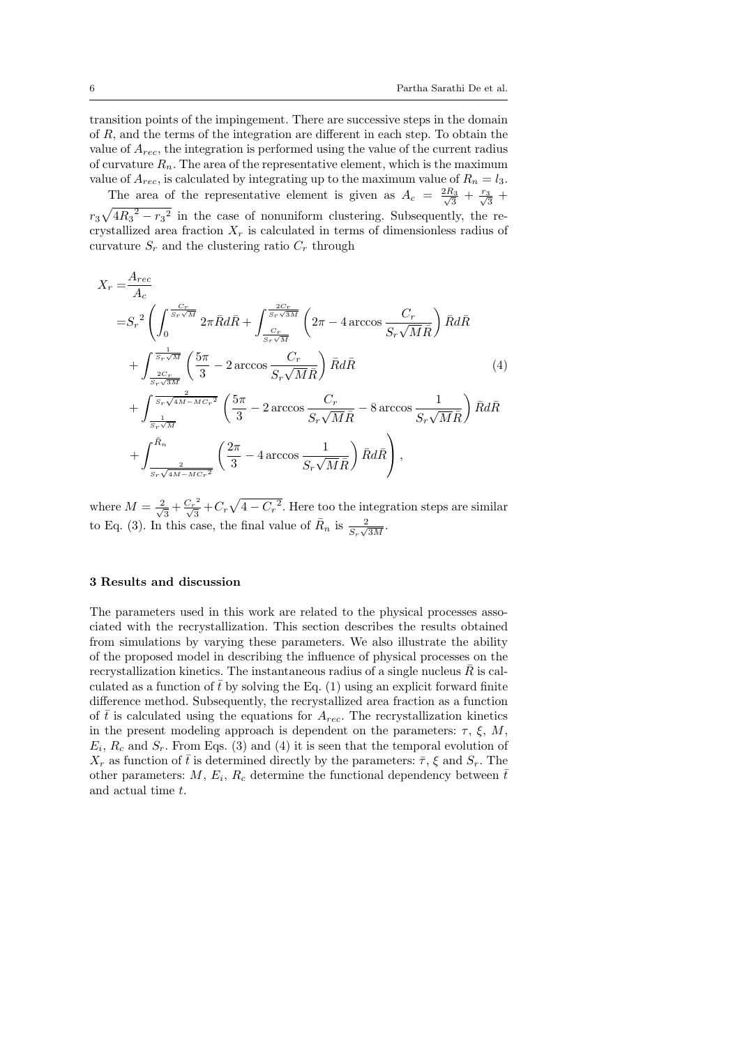transition points of the impingement. There are successive steps in the domain of R, and the terms of the integration are different in each step. To obtain the value of  $A_{rec}$ , the integration is performed using the value of the current radius of curvature  $R_n$ . The area of the representative element, which is the maximum value of  $A_{rec}$ , is calculated by integrating up to the maximum value of  $R_n = l_3$ .

The area of the representative element is given as  $A_c = \frac{2}{3}$  $\frac{2R_3}{\sqrt{3}} + \frac{r_3}{\sqrt{3}} +$  $r_3\sqrt{4R_3^2-r_3^2}$  in the case of nonuniform clustering. Subsequently, the recrystallized area fraction  $X_r$  is calculated in terms of dimensionless radius of curvature  $S_r$  and the clustering ratio  $C_r$  through

$$
X_{r} = \frac{A_{rec}}{A_{c}}
$$
  
\n
$$
= S_{r}^{2} \left( \int_{0}^{\frac{C_{r}}{S_{r}\sqrt{M}}} 2\pi \bar{R} d\bar{R} + \int_{\frac{C_{r}}{S_{r}\sqrt{M}}}^{\frac{2C_{r}}{S_{r}\sqrt{M}}} \left( 2\pi - 4 \arccos \frac{C_{r}}{S_{r}\sqrt{M}\bar{R}} \right) \bar{R} d\bar{R} + \int_{\frac{2C_{r}}{S_{r}\sqrt{M}}}^{\frac{1}{S_{r}\sqrt{M}}} \left( \frac{5\pi}{3} - 2 \arccos \frac{C_{r}}{S_{r}\sqrt{M}\bar{R}} \right) \bar{R} d\bar{R}
$$
(4)  
\n
$$
+ \int_{\frac{2}{S_{r}\sqrt{M}}}^{\frac{2}{S_{r}\sqrt{M}} \sqrt{M-N}C_{r}^{2}} \left( \frac{5\pi}{3} - 2 \arccos \frac{C_{r}}{S_{r}\sqrt{M}\bar{R}} - 8 \arccos \frac{1}{S_{r}\sqrt{M}\bar{R}} \right) \bar{R} d\bar{R} + \int_{\frac{2}{S_{r}\sqrt{M-N}C_{r}^{2}}}^{\bar{R}_{n}} \left( \frac{2\pi}{3} - 4 \arccos \frac{1}{S_{r}\sqrt{M}\bar{R}} \right) \bar{R} d\bar{R} \right),
$$
(4)

where  $M = \frac{2}{\sqrt{2}}$  $\frac{1}{3} + \frac{{C_r}^2}{\sqrt{3}}$  $\frac{C_r^2}{\sqrt{3}} + C_r \sqrt{4 - C_r^2}$ . Here too the integration steps are similar to Eq. (3). In this case, the final value of  $\bar{R}_n$  is  $\frac{2}{S_r\sqrt{3M}}$ .

#### 3 Results and discussion

The parameters used in this work are related to the physical processes associated with the recrystallization. This section describes the results obtained from simulations by varying these parameters. We also illustrate the ability of the proposed model in describing the influence of physical processes on the recrystallization kinetics. The instantaneous radius of a single nucleus  $\bar{R}$  is calculated as a function of  $\bar{t}$  by solving the Eq. (1) using an explicit forward finite difference method. Subsequently, the recrystallized area fraction as a function of  $\bar{t}$  is calculated using the equations for  $A_{rec}$ . The recrystallization kinetics in the present modeling approach is dependent on the parameters:  $\tau$ ,  $\xi$ ,  $M$ ,  $E_i$ ,  $R_c$  and  $S_r$ . From Eqs. (3) and (4) it is seen that the temporal evolution of  $X_r$  as function of  $\bar{t}$  is determined directly by the parameters:  $\bar{\tau}$ ,  $\xi$  and  $S_r$ . The other parameters: M,  $E_i$ ,  $R_c$  determine the functional dependency between  $\bar{t}$ and actual time t.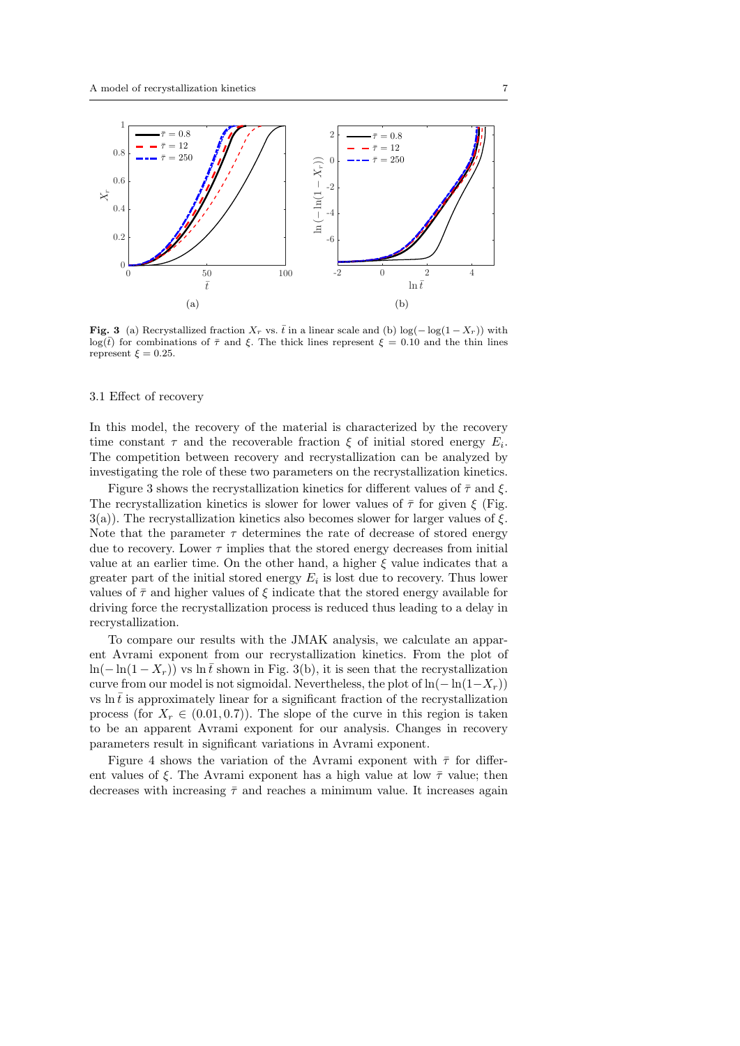

**Fig. 3** (a) Recrystallized fraction  $X_r$  vs.  $\bar{t}$  in a linear scale and (b) log( $-\log(1-X_r)$ ) with  $log(t)$  for combinations of  $\bar{\tau}$  and  $\xi$ . The thick lines represent  $\xi = 0.10$  and the thin lines represent  $\xi = 0.25$ .

#### 3.1 Effect of recovery

In this model, the recovery of the material is characterized by the recovery time constant  $\tau$  and the recoverable fraction  $\xi$  of initial stored energy  $E_i$ . The competition between recovery and recrystallization can be analyzed by investigating the role of these two parameters on the recrystallization kinetics.

Figure 3 shows the recrystallization kinetics for different values of  $\bar{\tau}$  and  $\xi$ . The recrystallization kinetics is slower for lower values of  $\bar{\tau}$  for given  $\xi$  (Fig.  $3(a)$ ). The recrystallization kinetics also becomes slower for larger values of  $\xi$ . Note that the parameter  $\tau$  determines the rate of decrease of stored energy due to recovery. Lower  $\tau$  implies that the stored energy decreases from initial value at an earlier time. On the other hand, a higher  $\xi$  value indicates that a greater part of the initial stored energy  $E_i$  is lost due to recovery. Thus lower values of  $\bar{\tau}$  and higher values of  $\xi$  indicate that the stored energy available for driving force the recrystallization process is reduced thus leading to a delay in recrystallization.

To compare our results with the JMAK analysis, we calculate an apparent Avrami exponent from our recrystallization kinetics. From the plot of ln(−ln(1 − X<sub>r</sub>)) vs ln  $\bar{t}$  shown in Fig. 3(b), it is seen that the recrystallization curve from our model is not sigmoidal. Nevertheless, the plot of  $ln(-ln(1-X_r))$ vs  $\ln \bar{t}$  is approximately linear for a significant fraction of the recrystallization process (for  $X_r \in (0.01, 0.7)$ ). The slope of the curve in this region is taken to be an apparent Avrami exponent for our analysis. Changes in recovery parameters result in significant variations in Avrami exponent.

Figure 4 shows the variation of the Avrami exponent with  $\bar{\tau}$  for different values of ξ. The Avrami exponent has a high value at low  $\bar{\tau}$  value; then decreases with increasing  $\bar{\tau}$  and reaches a minimum value. It increases again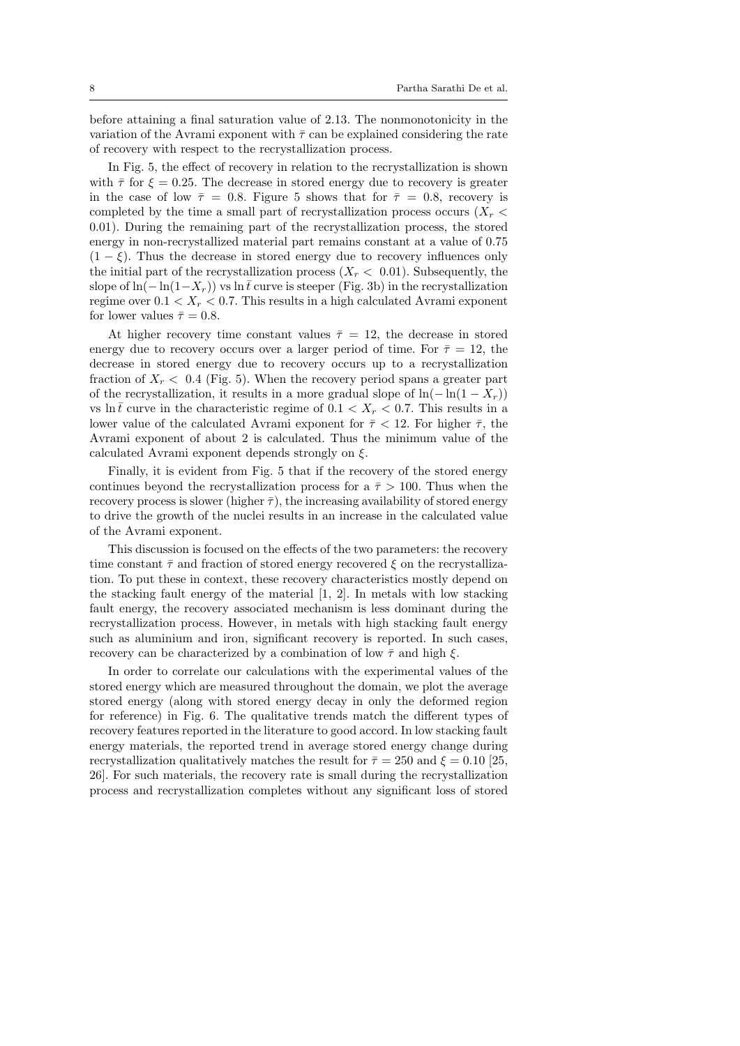before attaining a final saturation value of 2.13. The nonmonotonicity in the variation of the Avrami exponent with  $\bar{\tau}$  can be explained considering the rate of recovery with respect to the recrystallization process.

In Fig. 5, the effect of recovery in relation to the recrystallization is shown with  $\bar{\tau}$  for  $\xi = 0.25$ . The decrease in stored energy due to recovery is greater in the case of low  $\bar{\tau} = 0.8$ . Figure 5 shows that for  $\bar{\tau} = 0.8$ , recovery is completed by the time a small part of recrystallization process occurs  $(X_r \leq$ 0.01). During the remaining part of the recrystallization process, the stored energy in non-recrystallized material part remains constant at a value of 0.75  $(1 - \xi)$ . Thus the decrease in stored energy due to recovery influences only the initial part of the recrystallization process  $(X_r < 0.01)$ . Subsequently, the slope of ln( $-\ln(1-X_r)$ ) vs ln  $\bar{t}$  curve is steeper (Fig. 3b) in the recrystallization regime over  $0.1 < X_r < 0.7$ . This results in a high calculated Avrami exponent for lower values  $\bar{\tau} = 0.8$ .

At higher recovery time constant values  $\bar{\tau} = 12$ , the decrease in stored energy due to recovery occurs over a larger period of time. For  $\bar{\tau} = 12$ , the decrease in stored energy due to recovery occurs up to a recrystallization fraction of  $X_r < 0.4$  (Fig. 5). When the recovery period spans a greater part of the recrystallization, it results in a more gradual slope of  $\ln(-\ln(1 - X_r))$ vs ln  $\bar{t}$  curve in the characteristic regime of  $0.1 < X_r < 0.7$ . This results in a lower value of the calculated Avrami exponent for  $\bar{\tau}$  < 12. For higher  $\bar{\tau}$ , the Avrami exponent of about 2 is calculated. Thus the minimum value of the calculated Avrami exponent depends strongly on  $\xi$ .

Finally, it is evident from Fig. 5 that if the recovery of the stored energy continues beyond the recrystallization process for a  $\bar{\tau} > 100$ . Thus when the recovery process is slower (higher  $\bar{\tau}$ ), the increasing availability of stored energy to drive the growth of the nuclei results in an increase in the calculated value of the Avrami exponent.

This discussion is focused on the effects of the two parameters: the recovery time constant  $\bar{\tau}$  and fraction of stored energy recovered  $\xi$  on the recrystallization. To put these in context, these recovery characteristics mostly depend on the stacking fault energy of the material [1, 2]. In metals with low stacking fault energy, the recovery associated mechanism is less dominant during the recrystallization process. However, in metals with high stacking fault energy such as aluminium and iron, significant recovery is reported. In such cases, recovery can be characterized by a combination of low  $\bar{\tau}$  and high  $\xi$ .

In order to correlate our calculations with the experimental values of the stored energy which are measured throughout the domain, we plot the average stored energy (along with stored energy decay in only the deformed region for reference) in Fig. 6. The qualitative trends match the different types of recovery features reported in the literature to good accord. In low stacking fault energy materials, the reported trend in average stored energy change during recrystallization qualitatively matches the result for  $\bar{\tau} = 250$  and  $\xi = 0.10$  [25, 26]. For such materials, the recovery rate is small during the recrystallization process and recrystallization completes without any significant loss of stored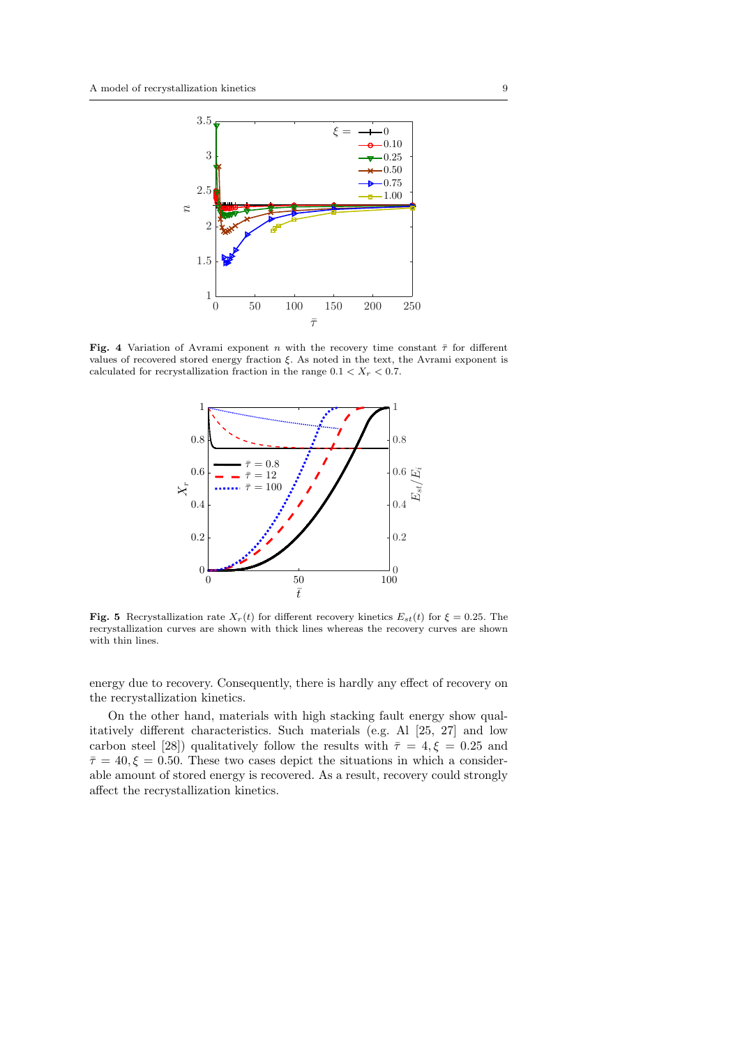

Fig. 4 Variation of Avrami exponent n with the recovery time constant  $\bar{\tau}$  for different values of recovered stored energy fraction ξ. As noted in the text, the Avrami exponent is calculated for recrystallization fraction in the range  $0.1 < X_r < 0.7$ .



Fig. 5 Recrystallization rate  $X_r(t)$  for different recovery kinetics  $E_{st}(t)$  for  $\xi = 0.25$ . The recrystallization curves are shown with thick lines whereas the recovery curves are shown with thin lines.

energy due to recovery. Consequently, there is hardly any effect of recovery on the recrystallization kinetics.

On the other hand, materials with high stacking fault energy show qualitatively different characteristics. Such materials (e.g. Al [25, 27] and low carbon steel [28]) qualitatively follow the results with  $\bar{\tau} = 4, \xi = 0.25$  and  $\bar{\tau}=40, \xi=0.50$ . These two cases depict the situations in which a considerable amount of stored energy is recovered. As a result, recovery could strongly affect the recrystallization kinetics.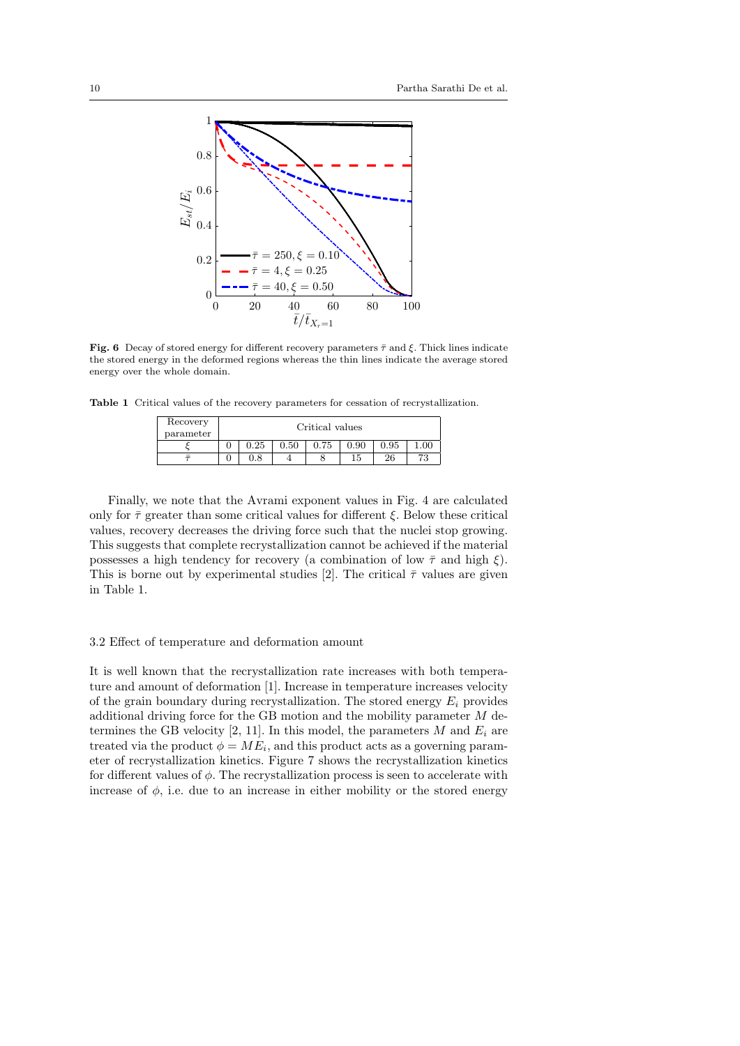

Fig. 6 Decay of stored energy for different recovery parameters  $\bar{\tau}$  and  $\xi$ . Thick lines indicate the stored energy in the deformed regions whereas the thin lines indicate the average stored energy over the whole domain.

Table 1 Critical values of the recovery parameters for cessation of recrystallization.

| Recovery<br>parameter | Critical values |              |      |      |      |      |      |
|-----------------------|-----------------|--------------|------|------|------|------|------|
|                       |                 | 0.25         | 0.50 | 0.75 | 0.90 | 0.95 | 00.1 |
|                       |                 | $_{\rm 0.8}$ |      |      | 15   | -26  | 73   |

Finally, we note that the Avrami exponent values in Fig. 4 are calculated only for  $\bar{\tau}$  greater than some critical values for different  $\xi$ . Below these critical values, recovery decreases the driving force such that the nuclei stop growing. This suggests that complete recrystallization cannot be achieved if the material possesses a high tendency for recovery (a combination of low  $\bar{\tau}$  and high  $\xi$ ). This is borne out by experimental studies [2]. The critical  $\bar{\tau}$  values are given in Table 1.

## 3.2 Effect of temperature and deformation amount

It is well known that the recrystallization rate increases with both temperature and amount of deformation [1]. Increase in temperature increases velocity of the grain boundary during recrystallization. The stored energy  $E_i$  provides additional driving force for the GB motion and the mobility parameter M determines the GB velocity [2, 11]. In this model, the parameters  $M$  and  $E_i$  are treated via the product  $\phi = ME_i$ , and this product acts as a governing parameter of recrystallization kinetics. Figure 7 shows the recrystallization kinetics for different values of  $\phi$ . The recrystallization process is seen to accelerate with increase of  $\phi$ , i.e. due to an increase in either mobility or the stored energy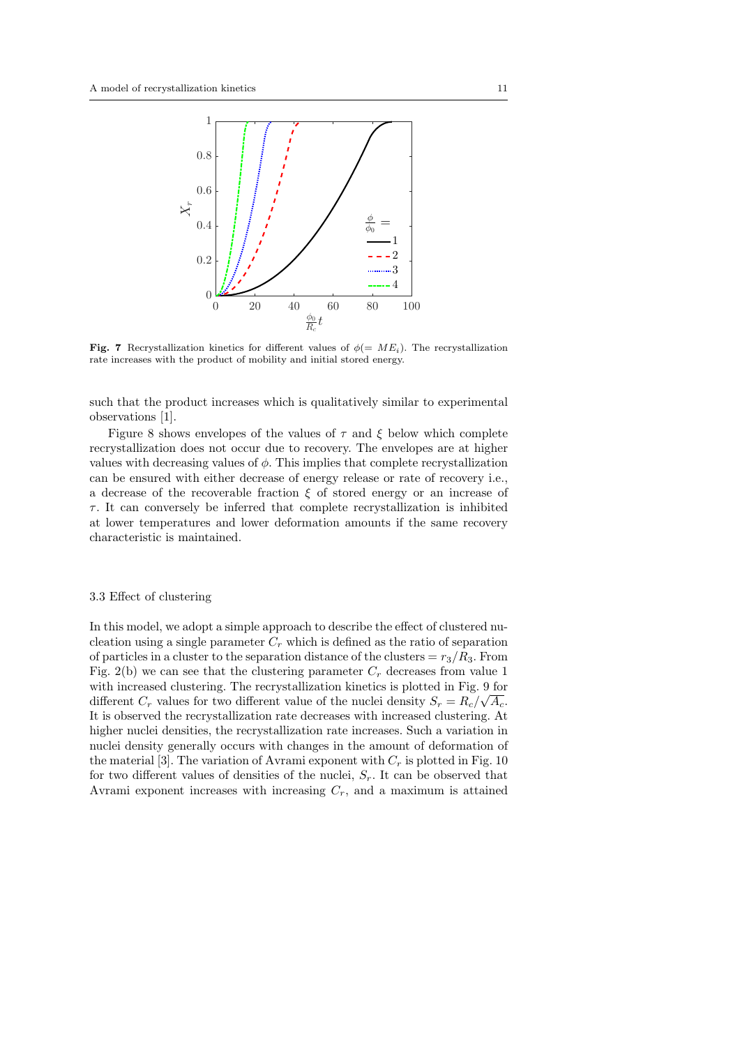

Fig. 7 Recrystallization kinetics for different values of  $\phi (= ME_i)$ . The recrystallization rate increases with the product of mobility and initial stored energy.

such that the product increases which is qualitatively similar to experimental observations [1].

Figure 8 shows envelopes of the values of  $\tau$  and  $\xi$  below which complete recrystallization does not occur due to recovery. The envelopes are at higher values with decreasing values of  $\phi$ . This implies that complete recrystallization can be ensured with either decrease of energy release or rate of recovery i.e., a decrease of the recoverable fraction  $\xi$  of stored energy or an increase of  $\tau$ . It can conversely be inferred that complete recrystallization is inhibited at lower temperatures and lower deformation amounts if the same recovery characteristic is maintained.

### 3.3 Effect of clustering

In this model, we adopt a simple approach to describe the effect of clustered nucleation using a single parameter  $C_r$  which is defined as the ratio of separation of particles in a cluster to the separation distance of the clusters =  $r_3/R_3$ . From Fig. 2(b) we can see that the clustering parameter  $C_r$  decreases from value 1 with increased clustering. The recrystallization kinetics is plotted in Fig. 9 for different  $C_r$  values for two different value of the nuclei density  $S_r = R_c / \sqrt{A_c}$ . It is observed the recrystallization rate decreases with increased clustering. At higher nuclei densities, the recrystallization rate increases. Such a variation in nuclei density generally occurs with changes in the amount of deformation of the material [3]. The variation of Avrami exponent with  $C_r$  is plotted in Fig. 10 for two different values of densities of the nuclei,  $S_r$ . It can be observed that Avrami exponent increases with increasing  $C_r$ , and a maximum is attained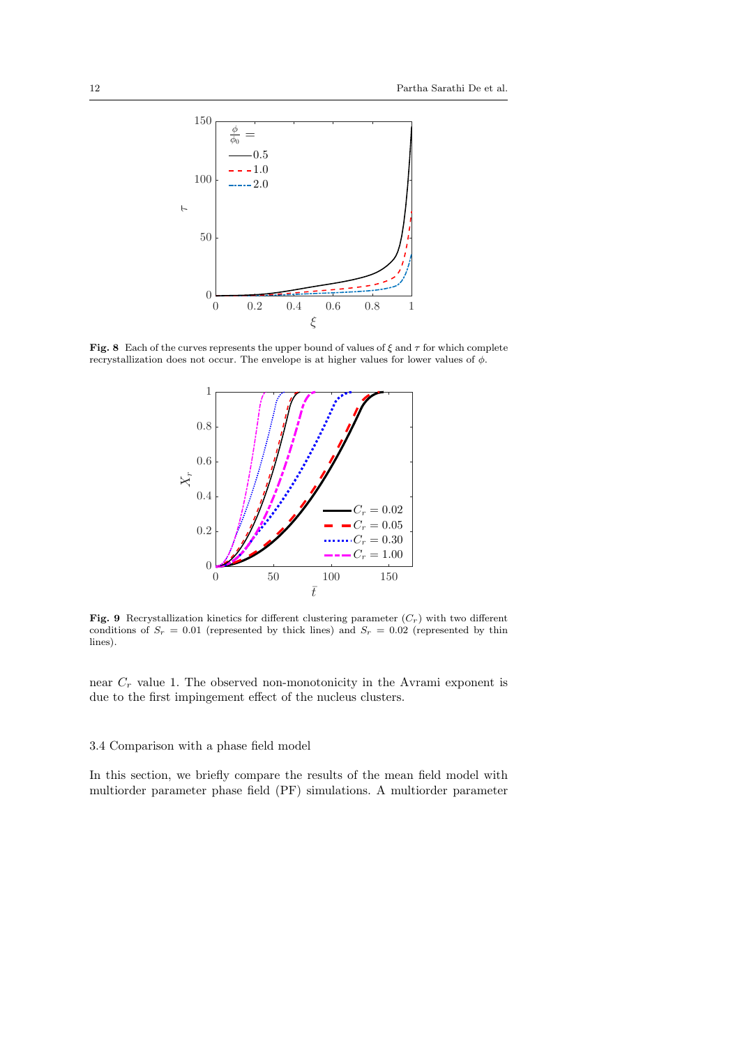

Fig. 8 Each of the curves represents the upper bound of values of  $\xi$  and  $\tau$  for which complete recrystallization does not occur. The envelope is at higher values for lower values of  $\phi$ .



Fig. 9 Recrystallization kinetics for different clustering parameter  $(C_r)$  with two different conditions of  $S_r = 0.01$  (represented by thick lines) and  $S_r = 0.02$  (represented by thin lines).

near  $C_r$  value 1. The observed non-monotonicity in the Avrami exponent is due to the first impingement effect of the nucleus clusters.

# 3.4 Comparison with a phase field model

In this section, we briefly compare the results of the mean field model with multiorder parameter phase field (PF) simulations. A multiorder parameter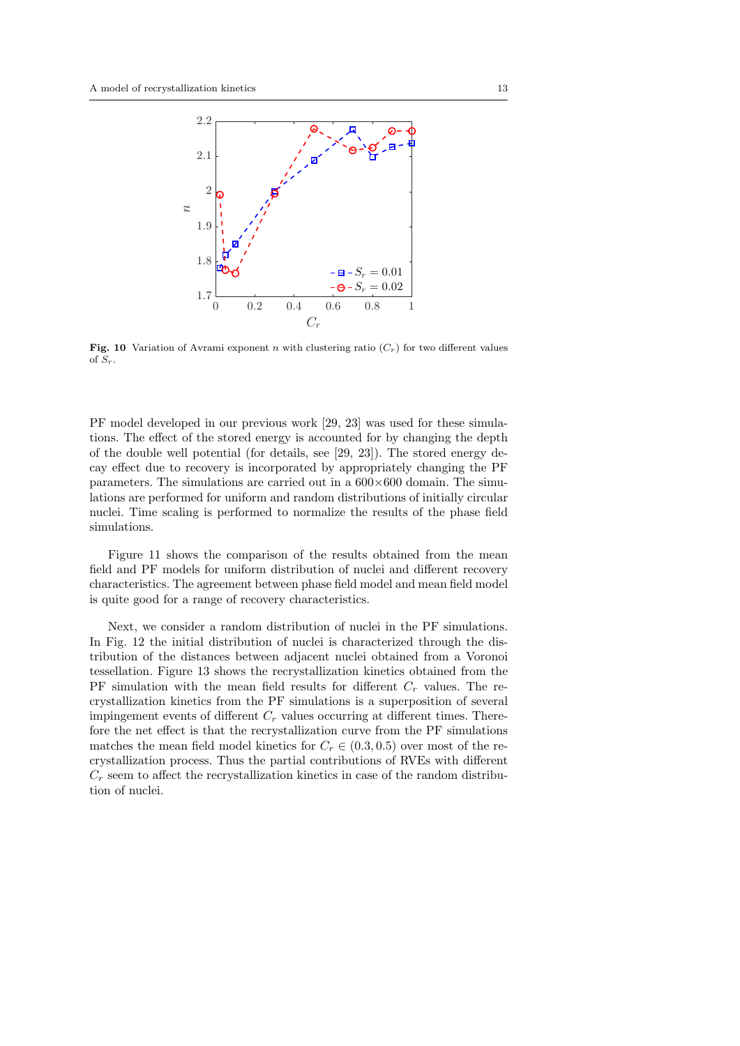

**Fig. 10** Variation of Avrami exponent n with clustering ratio  $(C<sub>r</sub>)$  for two different values of  $S_r$ .

PF model developed in our previous work [29, 23] was used for these simulations. The effect of the stored energy is accounted for by changing the depth of the double well potential (for details, see [29, 23]). The stored energy decay effect due to recovery is incorporated by appropriately changing the PF parameters. The simulations are carried out in a  $600\times600$  domain. The simulations are performed for uniform and random distributions of initially circular nuclei. Time scaling is performed to normalize the results of the phase field simulations.

Figure 11 shows the comparison of the results obtained from the mean field and PF models for uniform distribution of nuclei and different recovery characteristics. The agreement between phase field model and mean field model is quite good for a range of recovery characteristics.

Next, we consider a random distribution of nuclei in the PF simulations. In Fig. 12 the initial distribution of nuclei is characterized through the distribution of the distances between adjacent nuclei obtained from a Voronoi tessellation. Figure 13 shows the recrystallization kinetics obtained from the PF simulation with the mean field results for different  $C_r$  values. The recrystallization kinetics from the PF simulations is a superposition of several impingement events of different  $C_r$  values occurring at different times. Therefore the net effect is that the recrystallization curve from the PF simulations matches the mean field model kinetics for  $C_r \in (0.3, 0.5)$  over most of the recrystallization process. Thus the partial contributions of RVEs with different  $C_r$  seem to affect the recrystallization kinetics in case of the random distribution of nuclei.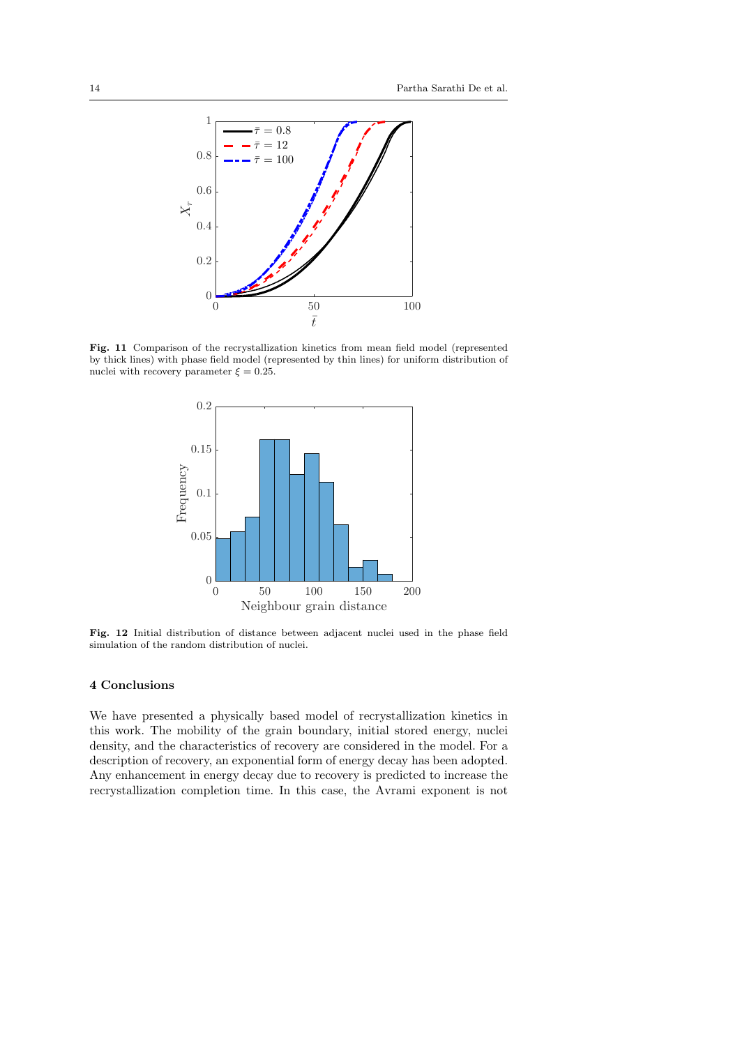

Fig. 11 Comparison of the recrystallization kinetics from mean field model (represented by thick lines) with phase field model (represented by thin lines) for uniform distribution of nuclei with recovery parameter  $\xi = 0.25$ .



Fig. 12 Initial distribution of distance between adjacent nuclei used in the phase field simulation of the random distribution of nuclei.

# 4 Conclusions

We have presented a physically based model of recrystallization kinetics in this work. The mobility of the grain boundary, initial stored energy, nuclei density, and the characteristics of recovery are considered in the model. For a description of recovery, an exponential form of energy decay has been adopted. Any enhancement in energy decay due to recovery is predicted to increase the recrystallization completion time. In this case, the Avrami exponent is not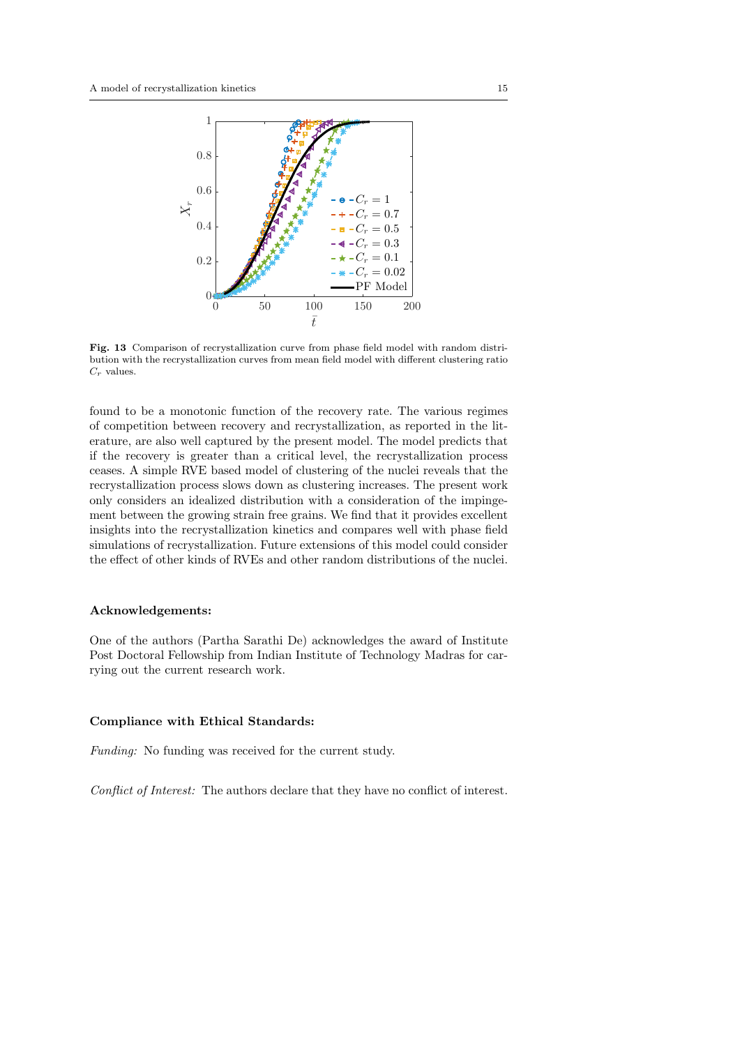

Fig. 13 Comparison of recrystallization curve from phase field model with random distribution with the recrystallization curves from mean field model with different clustering ratio  $C_r$  values.

found to be a monotonic function of the recovery rate. The various regimes of competition between recovery and recrystallization, as reported in the literature, are also well captured by the present model. The model predicts that if the recovery is greater than a critical level, the recrystallization process ceases. A simple RVE based model of clustering of the nuclei reveals that the recrystallization process slows down as clustering increases. The present work only considers an idealized distribution with a consideration of the impingement between the growing strain free grains. We find that it provides excellent insights into the recrystallization kinetics and compares well with phase field simulations of recrystallization. Future extensions of this model could consider the effect of other kinds of RVEs and other random distributions of the nuclei.

#### Acknowledgements:

One of the authors (Partha Sarathi De) acknowledges the award of Institute Post Doctoral Fellowship from Indian Institute of Technology Madras for carrying out the current research work.

## Compliance with Ethical Standards:

Funding: No funding was received for the current study.

Conflict of Interest: The authors declare that they have no conflict of interest.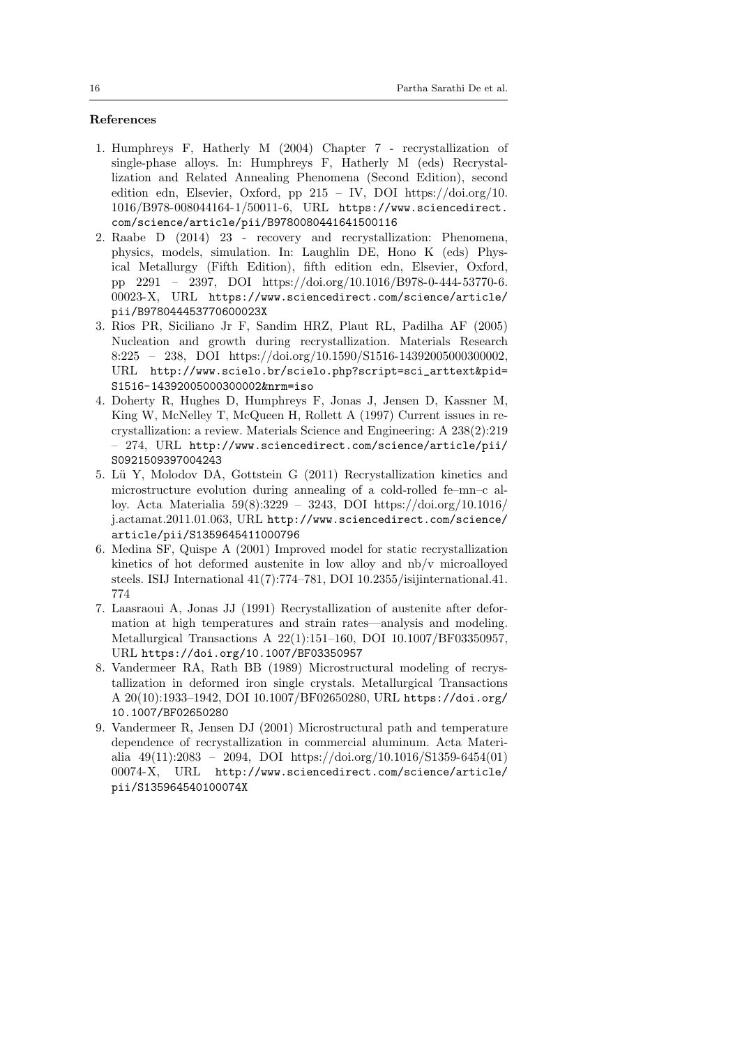# References

- 1. Humphreys F, Hatherly M (2004) Chapter 7 recrystallization of single-phase alloys. In: Humphreys F, Hatherly M (eds) Recrystallization and Related Annealing Phenomena (Second Edition), second edition edn, Elsevier, Oxford, pp 215 – IV, DOI https://doi.org/10. 1016/B978-008044164-1/50011-6, URL https://www.sciencedirect. com/science/article/pii/B9780080441641500116
- 2. Raabe D (2014) 23 recovery and recrystallization: Phenomena, physics, models, simulation. In: Laughlin DE, Hono K (eds) Physical Metallurgy (Fifth Edition), fifth edition edn, Elsevier, Oxford, pp 2291 – 2397, DOI https://doi.org/10.1016/B978-0-444-53770-6. 00023-X, URL https://www.sciencedirect.com/science/article/ pii/B978044453770600023X
- 3. Rios PR, Siciliano Jr F, Sandim HRZ, Plaut RL, Padilha AF (2005) Nucleation and growth during recrystallization. Materials Research 8:225 – 238, DOI https://doi.org/10.1590/S1516-14392005000300002, URL http://www.scielo.br/scielo.php?script=sci\_arttext&pid= S1516-14392005000300002&nrm=iso
- 4. Doherty R, Hughes D, Humphreys F, Jonas J, Jensen D, Kassner M, King W, McNelley T, McQueen H, Rollett A (1997) Current issues in recrystallization: a review. Materials Science and Engineering: A 238(2):219 – 274, URL http://www.sciencedirect.com/science/article/pii/ S0921509397004243
- 5. Lü Y, Molodov DA, Gottstein G (2011) Recrystallization kinetics and microstructure evolution during annealing of a cold-rolled fe–mn–c alloy. Acta Materialia 59(8):3229 – 3243, DOI https://doi.org/10.1016/ j.actamat.2011.01.063, URL http://www.sciencedirect.com/science/ article/pii/S1359645411000796
- 6. Medina SF, Quispe A (2001) Improved model for static recrystallization kinetics of hot deformed austenite in low alloy and nb/v microalloyed steels. ISIJ International 41(7):774–781, DOI 10.2355/isijinternational.41. 774
- 7. Laasraoui A, Jonas JJ (1991) Recrystallization of austenite after deformation at high temperatures and strain rates—analysis and modeling. Metallurgical Transactions A 22(1):151–160, DOI 10.1007/BF03350957, URL https://doi.org/10.1007/BF03350957
- 8. Vandermeer RA, Rath BB (1989) Microstructural modeling of recrystallization in deformed iron single crystals. Metallurgical Transactions A 20(10):1933–1942, DOI 10.1007/BF02650280, URL https://doi.org/ 10.1007/BF02650280
- 9. Vandermeer R, Jensen DJ (2001) Microstructural path and temperature dependence of recrystallization in commercial aluminum. Acta Materialia  $49(11):2083 - 2094$ , DOI https://doi.org/10.1016/S1359-6454(01) 00074-X, URL http://www.sciencedirect.com/science/article/ pii/S135964540100074X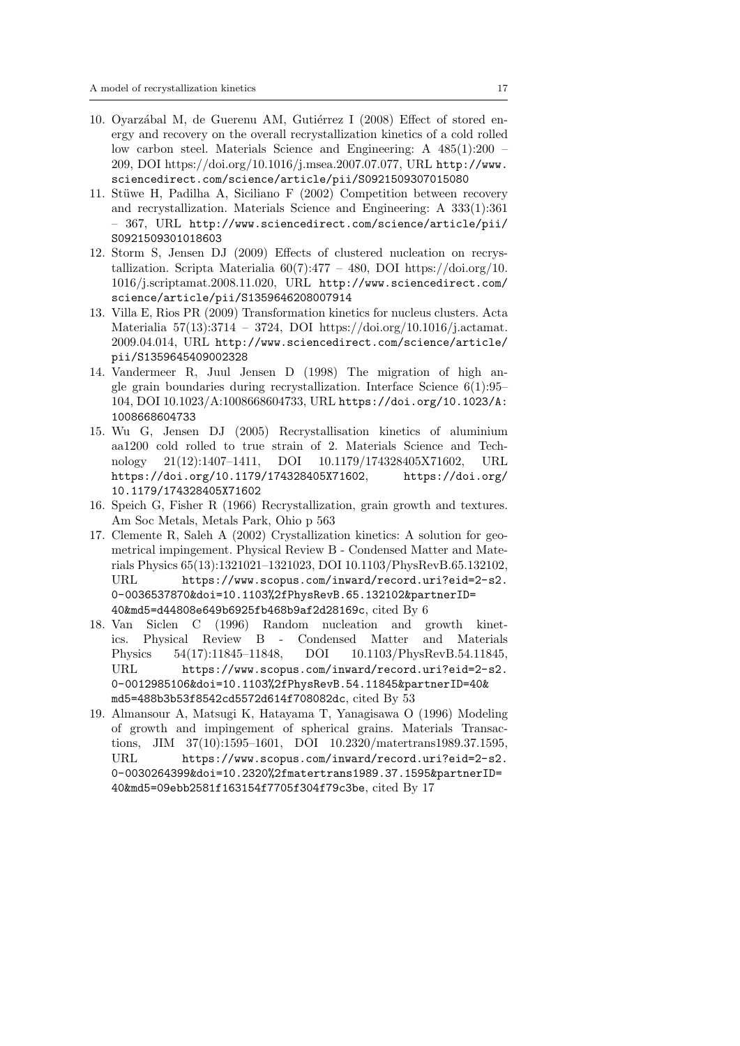- 10. Oyarzábal M, de Guerenu AM, Gutiérrez I (2008) Effect of stored energy and recovery on the overall recrystallization kinetics of a cold rolled low carbon steel. Materials Science and Engineering: A 485(1):200 – 209, DOI https://doi.org/10.1016/j.msea.2007.07.077, URL http://www. sciencedirect.com/science/article/pii/S0921509307015080
- 11. Stüwe H, Padilha A, Siciliano F (2002) Competition between recovery and recrystallization. Materials Science and Engineering: A 333(1):361 – 367, URL http://www.sciencedirect.com/science/article/pii/ S0921509301018603
- 12. Storm S, Jensen DJ (2009) Effects of clustered nucleation on recrystallization. Scripta Materialia  $60(7):477 - 480$ , DOI https://doi.org/10. 1016/j.scriptamat.2008.11.020, URL http://www.sciencedirect.com/ science/article/pii/S1359646208007914
- 13. Villa E, Rios PR (2009) Transformation kinetics for nucleus clusters. Acta Materialia 57(13):3714 – 3724, DOI https://doi.org/10.1016/j.actamat. 2009.04.014, URL http://www.sciencedirect.com/science/article/ pii/S1359645409002328
- 14. Vandermeer R, Juul Jensen D (1998) The migration of high angle grain boundaries during recrystallization. Interface Science 6(1):95– 104, DOI 10.1023/A:1008668604733, URL https://doi.org/10.1023/A: 1008668604733
- 15. Wu G, Jensen DJ (2005) Recrystallisation kinetics of aluminium aa1200 cold rolled to true strain of 2. Materials Science and Technology 21(12):1407–1411, DOI 10.1179/174328405X71602, URL https://doi.org/10.1179/174328405X71602, https://doi.org/ 10.1179/174328405X71602
- 16. Speich G, Fisher R (1966) Recrystallization, grain growth and textures. Am Soc Metals, Metals Park, Ohio p 563
- 17. Clemente R, Saleh A (2002) Crystallization kinetics: A solution for geometrical impingement. Physical Review B - Condensed Matter and Materials Physics 65(13):1321021–1321023, DOI 10.1103/PhysRevB.65.132102, URL https://www.scopus.com/inward/record.uri?eid=2-s2. 0-0036537870&doi=10.1103%2fPhysRevB.65.132102&partnerID= 40&md5=d44808e649b6925fb468b9af2d28169c, cited By 6
- 18. Van Siclen C (1996) Random nucleation and growth kinetics. Physical Review B - Condensed Matter and Materials Physics 54(17):11845–11848, DOI 10.1103/PhysRevB.54.11845, URL https://www.scopus.com/inward/record.uri?eid=2-s2. 0-0012985106&doi=10.1103%2fPhysRevB.54.11845&partnerID=40& md5=488b3b53f8542cd5572d614f708082dc, cited By 53
- 19. Almansour A, Matsugi K, Hatayama T, Yanagisawa O (1996) Modeling of growth and impingement of spherical grains. Materials Transactions, JIM 37(10):1595–1601, DOI 10.2320/matertrans1989.37.1595, URL https://www.scopus.com/inward/record.uri?eid=2-s2. 0-0030264399&doi=10.2320%2fmatertrans1989.37.1595&partnerID= 40&md5=09ebb2581f163154f7705f304f79c3be, cited By 17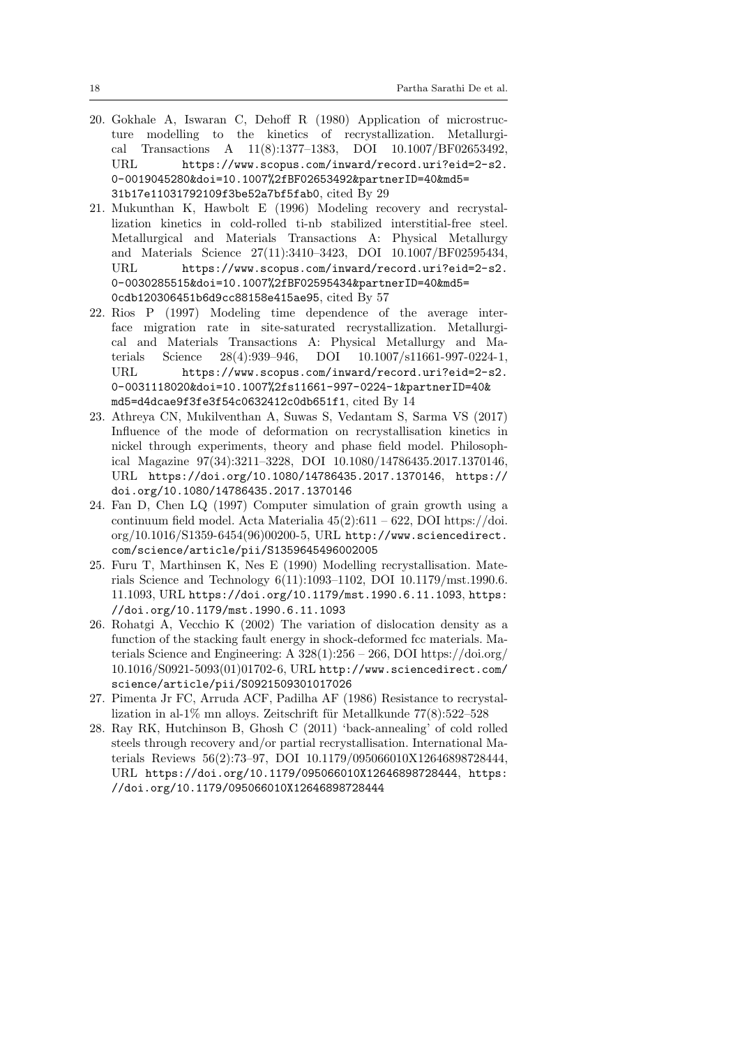- 20. Gokhale A, Iswaran C, Dehoff R (1980) Application of microstructure modelling to the kinetics of recrystallization. Metallurgical Transactions A 11(8):1377–1383, DOI 10.1007/BF02653492, URL https://www.scopus.com/inward/record.uri?eid=2-s2. 0-0019045280&doi=10.1007%2fBF02653492&partnerID=40&md5= 31b17e11031792109f3be52a7bf5fab0, cited By 29
- 21. Mukunthan K, Hawbolt E (1996) Modeling recovery and recrystallization kinetics in cold-rolled ti-nb stabilized interstitial-free steel. Metallurgical and Materials Transactions A: Physical Metallurgy and Materials Science 27(11):3410–3423, DOI 10.1007/BF02595434, URL https://www.scopus.com/inward/record.uri?eid=2-s2. 0-0030285515&doi=10.1007%2fBF02595434&partnerID=40&md5= 0cdb120306451b6d9cc88158e415ae95, cited By 57
- 22. Rios P (1997) Modeling time dependence of the average interface migration rate in site-saturated recrystallization. Metallurgical and Materials Transactions A: Physical Metallurgy and Materials Science 28(4):939–946, DOI 10.1007/s11661-997-0224-1, URL https://www.scopus.com/inward/record.uri?eid=2-s2. 0-0031118020&doi=10.1007%2fs11661-997-0224-1&partnerID=40& md5=d4dcae9f3fe3f54c0632412c0db651f1, cited By 14
- 23. Athreya CN, Mukilventhan A, Suwas S, Vedantam S, Sarma VS (2017) Influence of the mode of deformation on recrystallisation kinetics in nickel through experiments, theory and phase field model. Philosophical Magazine 97(34):3211–3228, DOI 10.1080/14786435.2017.1370146, URL https://doi.org/10.1080/14786435.2017.1370146, https:// doi.org/10.1080/14786435.2017.1370146
- 24. Fan D, Chen LQ (1997) Computer simulation of grain growth using a continuum field model. Acta Materialia  $45(2):611 - 622$ , DOI https://doi. org/10.1016/S1359-6454(96)00200-5, URL http://www.sciencedirect. com/science/article/pii/S1359645496002005
- 25. Furu T, Marthinsen K, Nes E (1990) Modelling recrystallisation. Materials Science and Technology 6(11):1093–1102, DOI 10.1179/mst.1990.6. 11.1093, URL https://doi.org/10.1179/mst.1990.6.11.1093, https: //doi.org/10.1179/mst.1990.6.11.1093
- 26. Rohatgi A, Vecchio K (2002) The variation of dislocation density as a function of the stacking fault energy in shock-deformed fcc materials. Materials Science and Engineering: A  $328(1):256 - 266$ , DOI https://doi.org/ 10.1016/S0921-5093(01)01702-6, URL http://www.sciencedirect.com/ science/article/pii/S0921509301017026
- 27. Pimenta Jr FC, Arruda ACF, Padilha AF (1986) Resistance to recrystallization in al-1% mn alloys. Zeitschrift für Metallkunde  $77(8):522-528$
- 28. Ray RK, Hutchinson B, Ghosh C (2011) 'back-annealing' of cold rolled steels through recovery and/or partial recrystallisation. International Materials Reviews 56(2):73–97, DOI 10.1179/095066010X12646898728444, URL https://doi.org/10.1179/095066010X12646898728444, https: //doi.org/10.1179/095066010X12646898728444